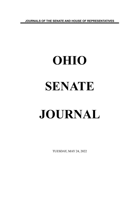**JOURNALS OF THE SENATE AND HOUSE OF REPRESENTATIVES**

# **OHIO SENATE JOURNAL**

TUESDAY, MAY 24, 2022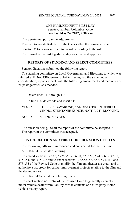### ONE HUNDRED FIFTY-FIRST DAY Senate Chamber, Columbus, Ohio **Tuesday, May 24, 2022, 9:30 a.m.**

The Senate met pursuant to adjournment.

Pursuant to Senate Rule No. 3, the Clerk called the Senate to order.

Senator O'Brien was selected to preside according to the rule.

The journal of the last legislative day was read and approved.

### **REPORTS OF STANDING AND SELECT COMMITTEES**

Senator Gavarone submitted the following report:

The standing committee on Local Government and Elections, to which was referred **S. B. No. 299-**Senator Schaffer having had the same under consideration, reports it back with the following amendment and recommends its passage when so amended.

Delete lines 111 through 113

In line 114, delete "**4**" and insert "**3**"

- YES 5: THERESA GAVARONE, SANDRA O'BRIEN, JERRY C. CIRINO, STEPHANIE KUNZE, NATHAN H. MANNING
- NO 1: VERNON SYKES

The question being, "Shall the report of the committee be accepted?" The report of the committee was accepted.

### **INTRODUCTION AND FIRST CONSIDERATION OF BILLS**

The following bills were introduced and considered for the first time:

**S. B. No. 341 -** Senator Schuring.

To amend sections 122.85, 5726.55, 5726.98, 5733.59, 5747.66, 5747.98, 5751.54, and 5751.98 and to enact sections 122.852, 5726.58, 5747.67, and 5751.55 of the Revised Code to modify the film and theater tax credit and to authorize a tax credit for capital improvement projects relating to the film and theater industries.

**S. B. No. 342 -** Senators Schuring, Lang.

To enact section 4517.262 of the Revised Code to generally exempt a motor vehicle dealer from liability for the contents of a third-party motor vehicle history report.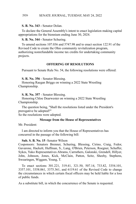# **S. B. No. 343 -** Senator Dolan.

To declare the General Assembly's intent to enact legislation making capital appropriations for the biennium ending June 30, 2024.

### **S. B. No. 344 -** Senator Schuring.

To amend sections 107.036 and 5747.98 and to enact section 122.91 of the Revised Code to create the Ohio community revitalization program, authorizing nonrefundable income tax credits for undertaking community projects.

### **OFFERING OF RESOLUTIONS**

Pursuant to Senate Rule No. 54, the following resolutions were offered:

**S. R. No. 356** - Senator Blessing.

Honoring Raegan Briggs on winning a 2022 State Wrestling Championship.

**S. R. No. 357** - Senator Blessing.

Honoring Chloe Dearwester on winning a 2022 State Wrestling Championship.

The question being, "Shall the resolutions listed under the President's prerogative be adopted?"

So the resolutions were adopted.

### **Message from the House of Representatives**

Mr. President:

I am directed to inform you that the House of Representatives has concurred in the passage of the following bill:

### **Sub. S. B. No. 15** -Senator Wilson

Cosponsors: Senators Brenner, Schuring, Blessing, Cirino, Craig, Fedor, Gavarone, Hackett, Huffman, S., Lang, O'Brien, Peterson, Roegner, Schaffer, Sykes, Yuko Representatives Abrams, Carruthers, Galonski, Grendell, Hillyer, John, Johnson, Jones, Kick, McClain, Patton, Seitz, Sheehy, Stephens, Swearingen, Wiggam, Young, T.

To enact sections 301.221, 319.41, 321.50, 507.14, 733.82, 3354.101, 3357.101, 3358.061, 3375.361, and 6119.61 of the Revised Code to change the circumstances in which certain fiscal officers may be held liable for a loss of public funds.

As a substitute bill, in which the concurrence of the Senate is requested.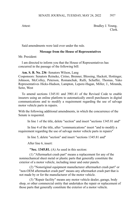Attest: Bradley J. Young, Clerk.

Said amendments were laid over under the rule.

# **Message from the House of Representatives**

Mr. President:

I am directed to inform you that the House of Representatives has concurred in the passage of the following bill:

**Am. S. B. No. 236** -Senators Wilson, Lang

Cosponsors: Senators Reineke, Cirino, Brenner, Blessing, Hackett, Hottinger, Johnson, McColley, Peterson, Romanchuk, Rulli, Schaffer, Thomas, Yuko Representatives Hicks-Hudson, Lampton, Lepore-Hagan, Miller, J., Miranda, Seitz, West

To amend sections 1345.81 and 3901.41 of the Revised Code to enable insurers using an online platform to automatically enroll purchasers in digital communications and to modify a requirement regarding the use of salvage motor vehicle parts in repairs.

With the following additional amendments, in which the concurrence of the Senate is requested.

In line 1 of the title, delete "section" and insert "sections 1345.81 and"

In line 4 of the title, after "communications" insert "and to modify a requirement regarding the use of salvage motor vehicle parts in repairs"

In line 5, delete "section" and insert "sections 1345.81 and"

After line 6, insert:

**"Sec. 1345.81.** (A) As used in this section:

(1) "Aftermarket crash part" means a replacement for any of the nonmechanical sheet metal or plastic parts that generally constitute the exterior of a motor vehicle, including inner and outer panels.

(2) "Nonoriginal equipment manufacturer aftermarket crash part" or "non-OEM aftermarket crash part" means any aftermarket crash part that is not made by or for the manufacturer of the motor vehicle.

(3) "Repair facility" means any motor vehicle dealer, garage, body shop, or other commercial entity that undertakes the repair or replacement of those parts that generally constitute the exterior of a motor vehicle.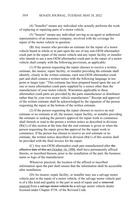(4) "Installer" means any individual who actually performs the work of replacing or repairing parts of a motor vehicle.

(5) "Insurer" means any individual serving as an agent or authorized representative of an insurance company, involved with the coverage for repair of the motor vehicle in question.

(B) Any insurer who provides an estimate for the repair of a motor vehicle based in whole or in part upon the use of any non-OEM aftermarket crash part in the repair of the motor vehicle and any repair facility or installer who intends to use a non-OEM aftermarket crash part in the repair of a motor vehicle shall comply with the following provisions, as applicable:

(1) If the person requesting the repair chooses to receive a written estimate, the insurer, repair facility, or installer providing the estimate shall identify, clearly in the written estimate, each non-OEM aftermarket crash part and shall contain a written notice with the following language in tenpoint or larger type: "This estimate has been prepared based upon the use of one or more aftermarket crash parts supplied by a source other than the manufacturer of your motor vehicle. Warranties applicable to these aftermarket crash parts are provided by the parts manufacturer or distributor rather than by your own motor vehicle manufacturer." Receipt and approval of the written estimate shall be acknowledged by the signature of the person requesting the repair at the bottom of the written estimate.

(2) If the person requesting the repair chooses to receive an oral estimate or no estimate at all, the insurer, repair facility, or installer providing the estimate or seeking the person's approval for repair work to commence shall furnish or read to the person a written notice as described in division (B)(1) of this section at the time that the oral estimate is given or when the person requesting the repair gives his approval for the repair work to commence. If the person has chosen to receive an oral estimate or no estimate, the written notice described in division (B)(1) of this section shall be provided with the final invoice for the repair.

(C) Any non-OEM aftermarket crash part manufactured after the effective date of this act October 16, 1990, shall have permanently affixed thereto, or inscribed thereon, prior to the installation of the part, the business name or logo of the manufacturer.

Whenever practical, the location of the affixed or inscribed information upon the part shall ensure that the information shall be accessible after installation.

(D) An insurer, repair facility, or installer may use a salvage motor vehicle part in the repair of a motor vehicle, if the salvage motor vehicle part is of a like kind and quality to the part in need of repair and is removedsourced from a salvage motor vehicle by a salvage motor vehicle dealer licensed under Chapter 4738. of the Revised Code.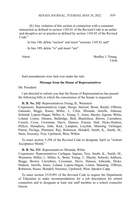(E) Any violation of this section in connection with a consumer transaction as defined in section 1345.01 of the Revised Code is an unfair and deceptive act or practice as defined by section 1345.02 of the Revised Code."

In line 188, delete "section" and insert "sections 1345.81 and"

In line 189, delete "is" and insert "are"

Attest: Bradley J. Young, Clerk.

Said amendments were laid over under the rule.

### **Message from the House of Representatives**

Mr. President:

I am directed to inform you that the House of Representatives has passed the following bills in which the concurrence of the Senate is requested:

**H. B. No. 242** -Representatives Young, B., Weinstein

Cosponsors: Representatives Lipps, Hoops, Stewart, Brent, Riedel, O'Brien, Galonski, Boggs, Russo, Miller, J., Click, Miranda, Jarrells, Johnson, Schmidt, Lepore-Hagan, Miller, A., Young, T., Jones, Sheehy, Ingram, White, Leland, Liston, Abrams, Baldridge, Bird, Blackshear, Brown, Carruthers, Creech, Cross, Crossman, Davis, Denson, Fraizer, Hall, Hicks-Hudson, Hillyer, Humphrey, John, Kick, Lampton, Loychik, Manning, Oelslager, Patton, Pavliga, Plummer, Ray, Robinson, Skindell, Smith, K., Smith, M., Stein, Sweeney, Troy, Upchurch, West, Wilkin

To enact section 5.294 of the Revised Code to designate April as "Autism Acceptance Month."

### **H. B. No. 333** -Representatives Miranda, White

Cosponsors: Representatives Carfagna, Ingram, Troy, Smith, K., Smith, M., Weinstein, Miller, J., Miller, A., Brent, Young, T., Sheehy, Sobecki, Addison, Boggs, Brown, Carruthers, Crossman, Davis, Denson, Edwards, Hicks-Hudson, Jarrells, Jones, Leland, Lepore-Hagan, Liston, Manning, O'Brien, Robinson, Russo, Skindell, Sweeney, Upchurch, West, Speaker Cupp

To enact section 3319.091 of the Revised Code to require the Department of Education to make recommendations for a job description for school counselors and to designate at least one staff member as a school counselor liaison.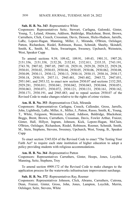### **Sub. H. B. No. 343** -Representative White

Cosponsors: Representatives Seitz, Stewart, Carfagna, Galonski, Ginter, Young, T., Leland, Abrams, Addison, Baldridge, Blackshear, Brent, Brown, Carruthers, Click, Creech, Crossman, Davis, Denson, Hicks-Hudson, Jarrells, LaRe, Lepore-Hagan, Manning, Miller, J., Miranda, O'Brien, Oelslager, Patton, Richardson, Riedel, Robinson, Russo, Schmidt, Sheehy, Skindell, Smith, K., Smith, M., Stein, Swearingen, Sweeney, Upchurch, Weinstein, West, Speaker Cupp

To amend sections 9.39, 109.42, 109.91, 149.43, 1901.31, 1907.20, 2151.356, 2151.358, 2152.20, 2152.81, 2152.811, 2335.35, 2743.191, 2743.70, 2907.02, 2907.05, 2907.10, 2929.18, 2929.20, 2929.22, 2929.28, 2930.01, 2930.02, 2930.03, 2930.04, 2930.05, 2930.06, 2930.062, 2930.08, 2930.09, 2930.11, 2930.12, 2930.13, 2930.14, 2930.15, 2930.16, 2930.17, 2930.18, 2930.19, 2937.11, 2945.481, 2945.482, 2945.72, 2947.051, 2951.041, and 2953.32; to enact new section 2930.07 and sections 2152.203, 2929.281, 2930.011, 2930.041, 2930.042, 2930.043, 2930.044, 2930.051, 2930.063, 2930.071, 2930.072, 2930.121, 2930.131, 2930.161, 2930.162, 2930.171, 2930.191, and 2945.483; and to repeal section 2930.07 of the Revised Code to make changes relative to the rights of crime victims.

### **Am. H. B. No. 353** -Representatives Click, Miranda

Cosponsors: Representatives Carfagna, Creech, Callender, Gross, Jarrells, John, Lightbody, LaRe, Miller, A., Miller, J., Patton, Russo, Smith, K., Young, T., White, Ferguson, Weinstein, Leland, Addison, Baldridge, Blackshear, Boggs, Brent, Brown, Carruthers, Crossman, Davis, Fowler Arthur, Fraizer, Ginter, Hall, Hillyer, Ingram, Johnson, Kick, Lepore-Hagan, McClain, O'Brien, Oelslager, Richardson, Riedel, Robinson, Roemer, Schmidt, Smith, M., Stein, Stephens, Stevens, Sweeney, Upchurch, West, Young, B., Speaker Cupp

To enact section 3345.024 of the Revised Code to enact "The Testing Your Faith Act" to require each state institution of higher education to adopt a policy providing students with religious accommodations.

### **Am. H. B. No. 364** -Representative Patton

Cosponsors: Representatives Carruthers, Ginter, Hoops, Jones, Loychik, Manning, Seitz, Stephens, Troy

To amend section 4909.172 of the Revised Code to make changes to the application process for the waterworks infrastructure improvement surcharge.

### **Sub. H. B. No. 372** -Representatives Ray, Roemer

Cosponsors: Representatives Johnson, Click, Abrams, Carruthers, Cutrona, Dean, Fraizer, Ginter, Gross, John, Jones, Lampton, Loychik, Merrin, Oelslager, Seitz, Stevens, White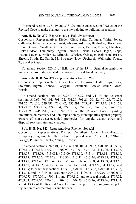To amend sections 3781.19 and 3781.20 and to enact section 3781.21 of the Revised Code to make changes to the law relating to building inspections.

### **Am. H. B. No. 377** -Representatives Hall, Swearingen

Cosponsors: Representatives Riedel, Click, Seitz, Carfagna, White, Jones, Callender, Edwards, Roemer, West, Abrams, Addison, Baldridge, Blackshear, Brent, Brown, Carruthers, Cross, Cutrona, Davis, Denson, Fraizer, Ghanbari, Hicks-Hudson, Humphrey, Ingram, Jarrells, Leland, Lepore-Hagan, Lipps, Liston, Loychik, Miller, J., Miranda, O'Brien, Oelslager, Robinson, Russo, Sheehy, Smith, K., Smith, M., Sweeney, Troy, Upchurch, Weinstein, Young, T., Speaker Cupp

To amend Section 220.11 of H.B. 168 of the 134th General Assembly to make an appropriation related to coronavirus local fiscal recovery.

### **Am. Sub. H. B. No. 422** -Representatives Fraizer, West

Cosponsors: Representatives Click, Creech, Ferguson, Hall, Lipps, Seitz, Stoltzfus, Ingram, Sobecki, Wiggam, Carruthers, Fowler Arthur, Gross, Merrin

To amend sections 701.10, 729.49, 735.29, and 743.04 and to enact sections 319.65, 701.101, 701.102, 701.20, 701.21, 701.22, 701.23, 701.24, 701.25, 701.26, 729.491, 729.492, 735.291, 743.041, 3745.15, 3745.151, 3745.152, 3745.153, 3745.154, 3745.155, 3745.156, 3745.157, 3745.158, 3745.159, 3745.1510, and 3745.1511 of the Revised Code regarding limitations on recovery and lien imposition by municipalities against property owners of non-owner-occupied properties for unpaid water, sewer, and disposal services rates and charges.

### **Sub. H. B. No. 542** -Representatives Roemer, Sobecki

Cosponsors: Representatives Fraizer, Carruthers, Gross, Hicks-Hudson, Humphrey, Ingram, Jarrells, Leland, Lepore-Hagan, Miller, J., O'Brien, Pavliga, Plummer, Sheehy, Young, T., West

To amend sections 2925.01, 3333.26, 4709.01, 4709.07, 4709.08, 4709.09, 4709.11, 4709.12, 4709.14, 4709.99, 4713.01, 4713.02, 4713.06, 4713.07, 4713.071, 4713.08, 4713.081, 4713.09, 4713.10, 4713.14, 4713.141, 4713.16, 4713.17, 4713.25, 4713.28, 4713.30, 4713.31, 4713.34, 4713.35, 4713.39, 4713.41, 4713.46, 4713.49, 4713.55, 4713.56, 4713.58, 4713.59, 4713.60, 4713.61, 4713.62, 4713.63, 4713.64, 4713.641, 4713.66, 4713.69, and 4713.99; to enact new sections 4709.02, 4709.03, 4709.05, 4709.10, 4709.13, 4713.44, and 4713.45 and sections 4709.031, 4709.051, 4709.071, 4709.072, 4709.073, 4709.091, 4709.111, and 4709.112; and to repeal sections 4709.02, 4709.03, 4709.05, 4709.10, 4709.13, 4709.23, 4713.26, 4713.36, 4713.44, and 4713.45 of the Revised Code to make changes to the law governing the regulation of cosmetologists and barbers.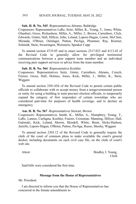### **Sub. H. B. No. 545** -Representatives Abrams, Baldridge

Cosponsors: Representatives LaRe, Seitz, Miller, K., Young, T., Jones, White, Ghanbari, Gross, Richardson, Miller, A., Miller, J., Brown, Carruthers, Click, Edwards, Ginter, Hall, Hillyer, John, Leland, Lepore-Hagan, Liston, McClain, Miranda, O'Brien, Oelslager, Patton, Pavliga, Plummer, Ray, Roemer, Schmidt, Stein, Swearingen, Weinstein, Speaker Cupp

To amend section 4735.05 and to enact sections 2317.023 and 4113.42 of the Revised Code to generally allow for privileged testimonial communications between a peer support team member and an individual receiving peer support services or advice from the team member.

### **Sub. H. B. No. 564** -Representative Koehler

Cosponsors: Representatives Seitz, Ginter, Carruthers, Abrams, Creech, Fraizer, Gross, Hall, Holmes, Jones, Kick, Miller, J., Miller, K., Stein, Wiggam

To amend section 3501.054 of the Revised Code to permit certain public officials to collaborate with or accept money from a nongovernmental person or entity for using a building to train precinct election officials, to temporarily expand the category of first responders of certain townships who are considered part-time for purposes of health coverage, and to declare an emergency.

### **Am. H. B. No. 567** -Representatives Stewart, Brown

Cosponsors: Representatives Smith, K., Miller, A., Humphrey, Young, T., LaRe, Lanese, Carfagna, Koehler, Fraizer, Crossman, Manning, Hillyer, Hall, Galonski, Kick, Leland, Merrin, Skindell, White, Brent, Hicks-Hudson, Jarrells, Lepore-Hagan, O'Brien, Patton, Pavliga, Russo, Sheehy, Wiggam

To amend section 2303.12 of the Revised Code to generally require the clerk of the court of common pleas to make available the court's general docket, including documents on each civil case file, on the clerk of court's web site.

Attest: Bradley J. Young, Clerk.

Said bills were considered the first time.

### **Message from the House of Representatives**

Mr. President:

I am directed to inform you that the House of Representatives has concurred in the Senate amendments to: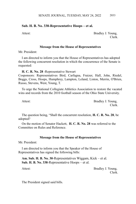# **Sub. H. B. No. 338-Representative Hoops – et al.**

Attest: Bradley J. Young, Clerk.

### **Message from the House of Representatives**

Mr. President:

I am directed to inform you that the House of Representatives has adopted the following concurrent resolution in which the concurrence of the Senate is requested:

**H. C. R. No. 28** -Representative Stewart

Cosponsors: Representatives Bird, Carfagna, Fraizer, Hall, John, Riedel, Boggs, Cross, Hoops, Humphrey, Lampton, Leland, Liston, Merrin, O'Brien, Russo, Stevens, West, Young, T.

To urge the National Collegiate Athletics Association to restore the vacated wins and records from the 2010 football season of the Ohio State University.

Attest: Bradley J. Young, Clerk.

The question being, "Shall the concurrent resolution, **H. C. R. No. 28**, be adopted?

On the motion of Senator Hackett, **H. C. R. No. 28** was referred to the Committee on Rules and Reference.

# **Message from the House of Representatives**

Mr. President:

I am directed to inform you that the Speaker of the House of Representatives has signed the following bills:

**Am. Sub. H. B. No. 30**-Representatives Wiggam, Kick – et al. **Sub. H. B. No. 338**-Representative Hoops – et al.

Attest: Bradley J. Young, Clerk.

The President signed said bills.